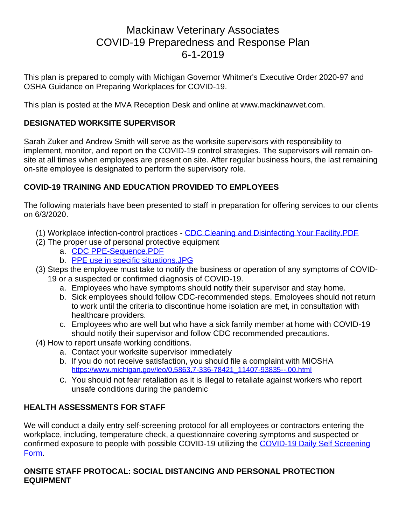# Mackinaw Veterinary Associates COVID-19 Preparedness and Response Plan 6-1-2019

This plan is prepared to comply with Michigan Governor Whitmer's Executive Order 2020-97 and OSHA Guidance on Preparing Workplaces for COVID-19.

This plan is posted at the MVA Reception Desk and online at www.mackinawvet.com.

### **DESIGNATED WORKSITE SUPERVISOR**

Sarah Zuker and Andrew Smith will serve as the worksite supervisors with responsibility to implement, monitor, and report on the COVID-19 control strategies. The supervisors will remain onsite at all times when employees are present on site. After regular business hours, the last remaining on-site employee is designated to perform the supervisory role.

# **COVID-19 TRAINING AND EDUCATION PROVIDED TO EMPLOYEES**

The following materials have been presented to staff in preparation for offering services to our clients on 6/3/2020.

- (1) Workplace infection-control practices [CDC Cleaning and Disinfecting Your Facility.PDF](https://www.cdc.gov/coronavirus/2019-ncov/community/organizations/cleaning-disinfection.html)
- (2) The proper use of personal protective equipment
	- a. [CDC PPE-Sequence.PDF](https://www.cdc.gov/hai/pdfs/ppe/PPE-Sequence.pdf)
	- b. [PPE use in specific situations.JPG](https://michvma.org/resources/Documents/COVID-19/PPE%20use%20in%20specific%20situations.pdf)
- (3) Steps the employee must take to notify the business or operation of any symptoms of COVID-19 or a suspected or confirmed diagnosis of COVID-19.
	- a. Employees who have [symptoms](https://www.cdc.gov/coronavirus/2019-ncov/symptoms-testing/symptoms.html) should notify their supervisor and stay home.
	- b. Sick employees should follow [CDC-recommended steps.](https://www.cdc.gov/coronavirus/2019-ncov/about/steps-when-sick.html) Employees should not return to work until the criteria to [discontinue home isolation](https://www.cdc.gov/coronavirus/2019-ncov/hcp/disposition-in-home-patients.html) are met, in consultation with healthcare providers.
	- c. Employees who are well but who have a sick family member at home with COVID-19 should notify their supervisor and follow [CDC recommended precautions.](https://www.cdc.gov/coronavirus/2019-ncov/hcp/guidance-prevent-spread.html#precautions)
- (4) How to report unsafe working conditions.
	- a. Contact your worksite supervisor immediately
	- b. If you do not receive satisfaction, you should file a complaint with MIOSHA [https://www.michigan.gov/leo/0,5863,7-336-78421\\_11407-93835--,00.html](https://www.michigan.gov/leo/0,5863,7-336-78421_11407-93835--,00.html)
	- c. You should not fear retaliation as it is illegal to retaliate against workers who report unsafe conditions during the pandemic

#### **HEALTH ASSESSMENTS FOR STAFF**

We will conduct a daily entry self-screening protocol for all employees or contractors entering the workplace, including, temperature check, a questionnaire covering symptoms and suspected or confirmed exposure to people with possible COVID-19 utilizing the COVID-19 Daily Self Screening [Form.](https://michvma.org/resources/Documents/COVID-19/COVID-19%20Daily%20Self%20Screening%20Form.docx)

#### **ONSITE STAFF PROTOCAL: SOCIAL DISTANCING AND PERSONAL PROTECTION EQUIPMENT**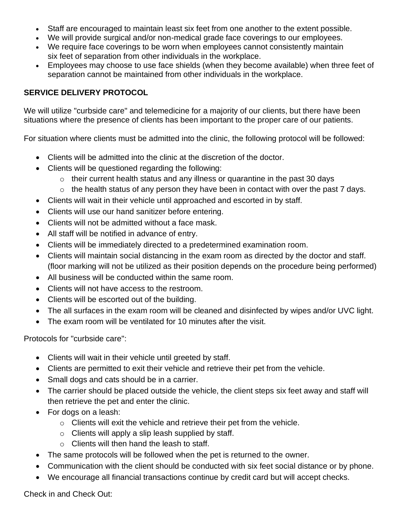- Staff are encouraged to maintain least six feet from one another to the extent possible.
- We will provide surgical and/or non-medical grade face coverings to our employees.
- We require face coverings to be worn when employees cannot consistently maintain six feet of separation from other individuals in the workplace.
- Employees may choose to use face shields (when they become available) when three feet of separation cannot be maintained from other individuals in the workplace.

# **SERVICE DELIVERY PROTOCOL**

We will utilize "curbside care" and telemedicine for a majority of our clients, but there have been situations where the presence of clients has been important to the proper care of our patients.

For situation where clients must be admitted into the clinic, the following protocol will be followed:

- Clients will be admitted into the clinic at the discretion of the doctor.
- Clients will be questioned regarding the following:
	- $\circ$  their current health status and any illness or quarantine in the past 30 days
	- $\circ$  the health status of any person they have been in contact with over the past 7 days.
- Clients will wait in their vehicle until approached and escorted in by staff.
- Clients will use our hand sanitizer before entering.
- Clients will not be admitted without a face mask.
- All staff will be notified in advance of entry.
- Clients will be immediately directed to a predetermined examination room.
- Clients will maintain social distancing in the exam room as directed by the doctor and staff. (floor marking will not be utilized as their position depends on the procedure being performed)
- All business will be conducted within the same room.
- Clients will not have access to the restroom.
- Clients will be escorted out of the building.
- The all surfaces in the exam room will be cleaned and disinfected by wipes and/or UVC light.
- The exam room will be ventilated for 10 minutes after the visit.

Protocols for "curbside care":

- Clients will wait in their vehicle until greeted by staff.
- Clients are permitted to exit their vehicle and retrieve their pet from the vehicle.
- Small dogs and cats should be in a carrier.
- The carrier should be placed outside the vehicle, the client steps six feet away and staff will then retrieve the pet and enter the clinic.
- For dogs on a leash:
	- o Clients will exit the vehicle and retrieve their pet from the vehicle.
	- $\circ$  Clients will apply a slip leash supplied by staff.
	- o Clients will then hand the leash to staff.
- The same protocols will be followed when the pet is returned to the owner.
- Communication with the client should be conducted with six feet social distance or by phone.
- We encourage all financial transactions continue by credit card but will accept checks.

Check in and Check Out: